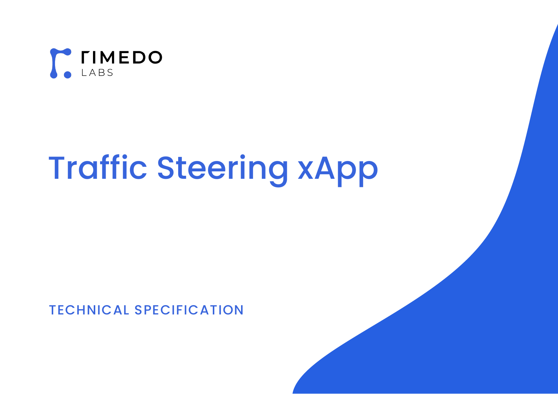

# Traffic Steering xApp

# TECHNICAL SPECIFICATION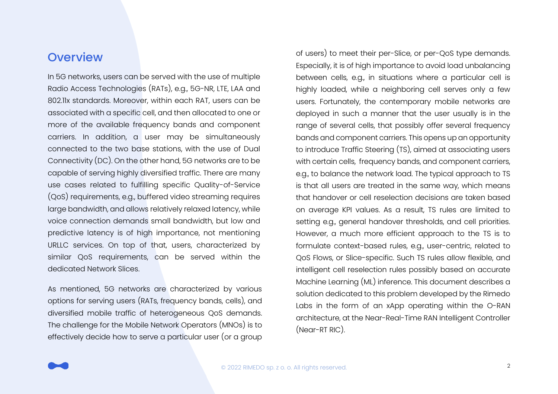#### **Overview**

In 5G networks, users can be served with the use of multiple Radio Access Technologies (RATs), e.g., 5G-NR, LTE, LAA and 802.11x standards. Moreover, within each RAT, users can be associated with a specific cell, and then allocated to one or more of the available frequency bands and component carriers. In addition, a user may be simultaneously connected to the two base stations, with the use of Dual Connectivity (DC). On the other hand, 5G networks are to be capable of serving highly diversified traffic. There are many use cases related to fulfilling specific Quality-of-Service (QoS) requirements, e.g., buffered video streaming requires large bandwidth, and allows relatively relaxed latency, while voice connection demands small bandwidth, but low and predictive latency is of high importance, not mentioning URLLC services. On top of that, users, characterized by similar QoS requirements, can be served within the dedicated Network Slices.

As mentioned, 5G networks are characterized by various options for serving users (RATs, frequency bands, cells), and diversified mobile traffic of heterogeneous QoS demands. The challenge for the Mobile Network Operators (MNOs) is to effectively decide how to serve a particular user (or a group of users) to meet their per-Slice, or per-QoS type demands. Especially, it is of high importance to avoid load unbalancing between cells, e.g., in situations where a particular cell is highly loaded, while a neighboring cell serves only a few users. Fortunately, the contemporary mobile networks are deployed in such a manner that the user usually is in the range of several cells, that possibly offer several frequency bands and component carriers. This opens up an opportunity to introduce Traffic Steering (TS), aimed at associating users with certain cells, frequency bands, and component carriers, e.g., to balance the network load. The typical approach to TS is that all users are treated in the same way, which means that handover or cell reselection decisions are taken based on average KPI values. As a result, TS rules are limited to setting e.g., general handover thresholds, and cell priorities. However, a much more efficient approach to the TS is to formulate context-based rules, e.g., user-centric, related to QoS Flows, or Slice-specific. Such TS rules allow flexible, and intelligent cell reselection rules possibly based on accurate Machine Learning (ML) inference. This document describes a solution dedicated to this problem developed by the Rimedo Labs in the form of an xApp operating within the O-RAN architecture, at the Near-Real-Time RAN Intelligent Controller (Near-RT RIC).

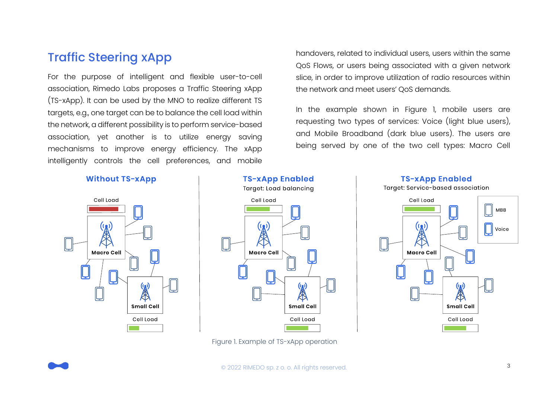# Traffic Steering xApp

For the purpose of intelligent and flexible user-to-cell association, Rimedo Labs proposes a Traffic Steering xApp (TS-xApp). It can be used by the MNO to realize different TS targets, e.g., one target can be to balance the cell load within the network, a different possibility is to perform service-based association, yet another is to utilize energy saving mechanisms to improve energy efficiency. The xApp intelligently controls the cell preferences, and mobile

handovers, related to individual users, users within the same QoS Flows, or users being associated with a given network slice, in order to improve utilization of radio resources within the network and meet users' QoS demands.

In the example shown in Figure 1, mobile users are requesting two types of services: Voice (light blue users), and Mobile Broadband (dark blue users). The users are being served by one of the two cell types: Macro Cell

#### **Without TS-xApp**





Figure 1. Example of TS-xApp operation



<span id="page-2-0"></span>

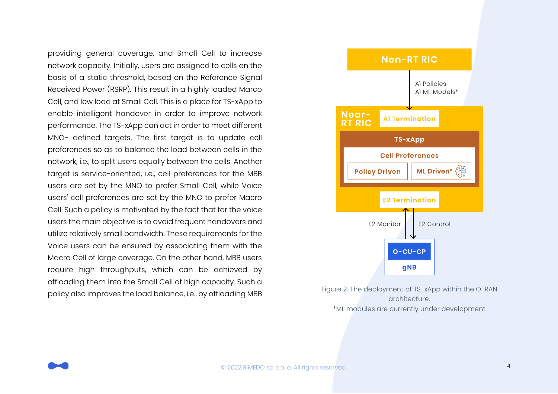providing general coverage, and Small Cell to increase network capacity. Initially, users are assigned to cells on the basis of a static threshold, based on the Reference Signal Received Power (RSRP). This result in a highly loaded Marco Cell, and low load at Small Cell. This is a place for TS-xApp to enable intelligent handover in order to improve network performance. The TS-xApp can act in order to meet different MNO- defined targets. The first target is to update cell preferences so as to balance the load between cells in the network, i.e., to split users equally between the cells. Another target is service-oriented, i.e., cell preferences for the MBB users are set by the MNO to prefer Small Cell, while Voice users' cell preferences are set by the MNO to prefer Macro Cell. Such a policy is motivated by the fact that for the voice users the main objective is to avoid frequent handovers and utilize relatively small bandwidth. These requirements for the Voice users can be ensured by associating them with the Macro Cell of large coverage. On the other hand, MBB users require high throughputs, which can be achieved by offloading them into the Small Cell of high capacity. Such a policy also improves the load balance, i.e., by offloading MBB Figure 2. The deployment of TS-xApp within the O-RAN



architecture. \*ML modules are currently under development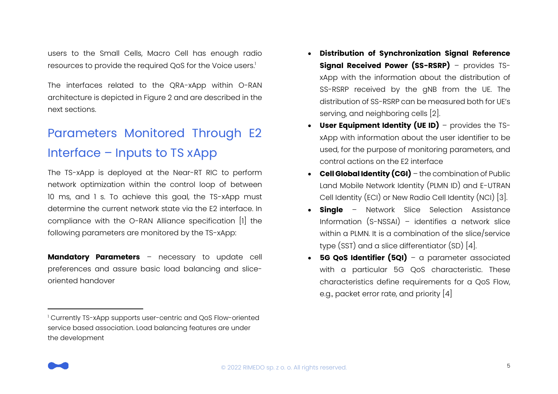users to the Small Cells, Macro Cell has enough radio resources to provide the required QoS for the Voice users. 1

The interfaces related to the QRA-xApp within O-RAN architecture is depicted in [Figure 2](#page-2-0) and are described in the next sections.

# Parameters Monitored Through E2 Interface – Inputs to TS xApp

The TS-xApp is deployed at the Near-RT RIC to perform network optimization within the control loop of between 10 ms, and 1 s. To achieve this goal, the TS-xApp must determine the current network state via the E2 interface. In compliance with the O-RAN Alliance specification [1] the following parameters are monitored by the TS-xApp:

**Mandatory Parameters** – necessary to update cell preferences and assure basic load balancing and sliceoriented handover

- **Distribution of Synchronization Signal Reference Signal Received Power (SS-RSRP)** – provides TSxApp with the information about the distribution of SS-RSRP received by the gNB from the UE. The distribution of SS-RSRP can be measured both for UE's serving, and neighboring cells [2].
- **User Equipment Identity (UE ID)** provides the TSxApp with information about the user identifier to be used, for the purpose of monitoring parameters, and control actions on the E2 interface
- **Cell Global Identity (CGI)** the combination of Public Land Mobile Network Identity (PLMN ID) and E-UTRAN Cell Identity (ECI) or New Radio Cell Identity (NCI) [3].
- **Single** Network Slice Selection Assistance Information (S-NSSAI) – identifies a network slice within a PLMN. It is a combination of the slice/service type (SST) and a slice differentiator (SD) [4].
- **5G QoS Identifier (5QI)** a parameter associated with a particular 5G QoS characteristic. These characteristics define requirements for a QoS Flow, e.g., packet error rate, and priority [4]



<sup>&</sup>lt;sup>1</sup> Currently TS-xApp supports user-centric and QoS Flow-oriented service based association. Load balancing features are under the development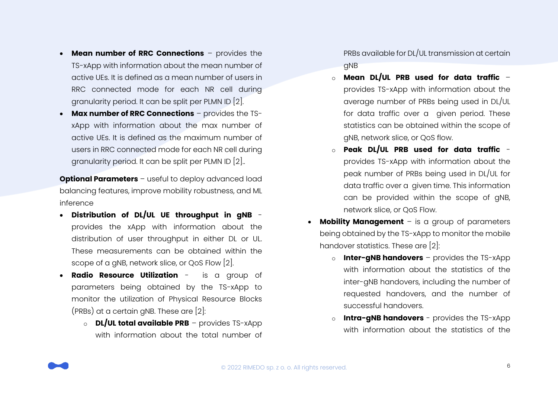- **Mean number of RRC Connections** provides the TS-xApp with information about the mean number of active UEs. It is defined as a mean number of users in RRC connected mode for each NR cell during granularity period. It can be split per PLMN ID [2].
- **Max number of RRC Connections** provides the TSxApp with information about the max number of active UEs. It is defined as the maximum number of users in RRC connected mode for each NR cell during granularity period. It can be split per PLMN ID [2]..

**Optional Parameters** – useful to deploy advanced load balancing features, improve mobility robustness, and ML inference

- **Distribution of DL/UL UE throughput in gNB** provides the xApp with information about the distribution of user throughput in either DL or UL. These measurements can be obtained within the scope of a gNB, network slice, or QoS Flow [2].
- **Radio Resource Utilization** is a group of parameters being obtained by the TS-xApp to monitor the utilization of Physical Resource Blocks (PRBs) at a certain gNB. These are [2]:
	- o **DL/UL total available PRB** provides TS-xApp with information about the total number of

PRBs available for DL/UL transmission at certain gNB

- o **Mean DL/UL PRB used for data traffic** provides TS-xApp with information about the average number of PRBs being used in DL/UL for data traffic over a given period. These statistics can be obtained within the scope of gNB, network slice, or QoS flow.
- o **Peak DL/UL PRB used for data traffic** provides TS-xApp with information about the peak number of PRBs being used in DL/UL for data traffic over a given time. This information can be provided within the scope of gNB, network slice, or QoS Flow.
- **Mobility Management** is a group of parameters being obtained by the TS-xApp to monitor the mobile handover statistics. These are [2]:
	- o **Inter-gNB handovers** provides the TS-xApp with information about the statistics of the inter-gNB handovers, including the number of requested handovers, and the number of successful handovers.
	- o **Intra-gNB handovers** provides the TS-xApp with information about the statistics of the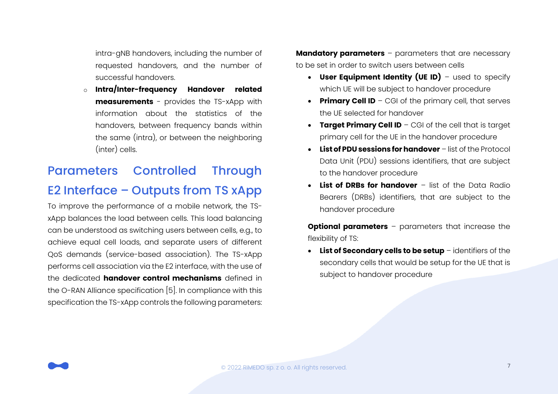intra-gNB handovers, including the number of requested handovers, and the number of successful handovers.

o **Intra/Inter-frequency Handover related measurements** - provides the TS-xApp with information about the statistics of the handovers, between frequency bands within the same (intra), or between the neighboring (inter) cells.

# Parameters Controlled Through

# E2 Interface – Outputs from TS xApp

To improve the performance of a mobile network, the TSxApp balances the load between cells. This load balancing can be understood as switching users between cells, e.g., to achieve equal cell loads, and separate users of different QoS demands (service-based association). The TS-xApp performs cell association via the E2 interface, with the use of the dedicated **handover control mechanisms** defined in the O-RAN Alliance specification [5]. In compliance with this specification the TS-xApp controls the following parameters:

**Mandatory parameters** – parameters that are necessary to be set in order to switch users between cells

- **User Equipment Identity (UE ID)** used to specify which UE will be subject to handover procedure
- **Primary Cell ID** CGI of the primary cell, that serves the UE selected for handover
- **Target Primary Cell ID** CGI of the cell that is target primary cell for the UE in the handover procedure
- **List of PDU sessions for handover** list of the Protocol Data Unit (PDU) sessions identifiers, that are subject to the handover procedure
- **List of DRBs for handover** list of the Data Radio Bearers (DRBs) identifiers, that are subject to the handover procedure

**Optional parameters** – parameters that increase the flexibility of TS:

• **List of Secondary cells to be setup** – identifiers of the secondary cells that would be setup for the UE that is subject to handover procedure

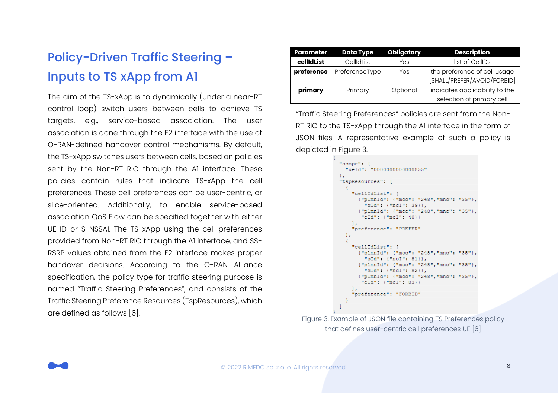# Policy-Driven Traffic Steering – Inputs to TS xApp from A1

The aim of the TS-xApp is to dynamically (under a near-RT control loop) switch users between cells to achieve TS targets, e.g., service-based association. The user association is done through the E2 interface with the use of O-RAN-defined handover control mechanisms. By default, the TS-xApp switches users between cells, based on policies sent by the Non-RT RIC through the A1 interface. These policies contain rules that indicate TS-xApp the cell preferences. These cell preferences can be user-centric, or slice-oriented. Additionally, to enable service-based association QoS Flow can be specified together with either UE ID or S-NSSAI. The TS-xApp using the cell preferences provided from Non-RT RIC through the A1 interface, and SS-RSRP values obtained from the E2 interface makes proper handover decisions. According to the O-RAN Alliance specification, the policy type for traffic steering purpose is named "Traffic Steering Preferences", and consists of the Traffic Steering Preference Resources (TspResources), which are defined as follows [6].

| <b>Parameter</b> | <b>Data Type</b> | <b>Obligatory</b> | <b>Description</b>                                          |
|------------------|------------------|-------------------|-------------------------------------------------------------|
| cellidList       | CellIdList       | Yes               | list of CellIDs                                             |
| preference       | PreferenceType   | Yes               | the preference of cell usage<br>[SHALL/PREFER/AVOID/FORBID] |
| primary          | Primary          | Optional          | indicates applicability to the<br>selection of primary cell |

"Traffic Steering Preferences" policies are sent from the Non-RT RIC to the TS-xApp through the A1 interface in the form of JSON files. A representative example of such a policy is depicted in Figure 3.

```
"scope": {
 "ueId": "0000000000000855"
\mathcal{V}"tspResources": [
    "cellIdList": [
      {"plmnId": {"mcc": "248","mnc": "35"},
        "cId": {"ncI": 39}},
      {"plmnId": {"mcc": "248","mnc": "35"},
       "cId": {"ncI": 40}}
   \mathbf{1}.
    "preference": "PREFER"
  \mathcal{F}"cellIdList": [
      {"plmnId": {"mcc": "248","mnc": "35"},
        "cId": {"ncI": 81}},
      {"plmnId": {"mcc": "248","mnc": "35"},
        "cId": {``ncI": 82}}{"plmnId": {"mcc": "248","mnc": "35"},
       "cId": {"ncI": 83}}
    \mathbf{1}"preference": "FORBID"
 - 3
J.
```
Figure 3. Example of JSON file containing TS Preferences policy that defines user-centric cell preferences UE [6]

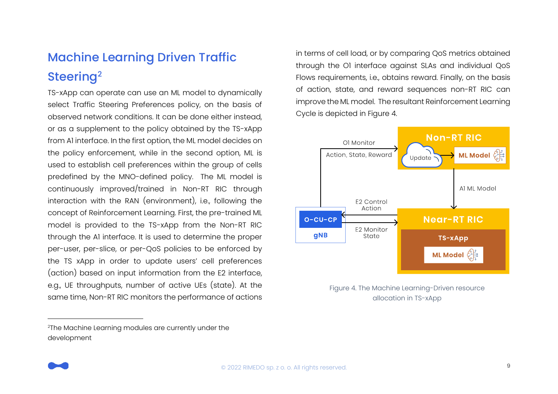# Machine Learning Driven Traffic Steering<sup>2</sup>

TS-xApp can operate can use an ML model to dynamically select Traffic Steering Preferences policy, on the basis of observed network conditions. It can be done either instead, or as a supplement to the policy obtained by the TS-xApp from A1 interface. In the first option, the ML model decides on the policy enforcement, while in the second option, ML is used to establish cell preferences within the group of cells predefined by the MNO-defined policy. The ML model is continuously improved/trained in Non-RT RIC through interaction with the RAN (environment), i.e., following the concept of Reinforcement Learning. First, the pre-trained ML model is provided to the TS-xApp from the Non-RT RIC through the A1 interface. It is used to determine the proper per-user, per-slice, or per-QoS policies to be enforced by the TS xApp in order to update users' cell preferences (action) based on input information from the E2 interface, e.g., UE throughputs, number of active UEs (state). At the same time, Non-RT RIC monitors the performance of actions

<sup>2</sup>The Machine Learning modules are currently under the development

in terms of cell load, or by comparing QoS metrics obtained through the O1 interface against SLAs and individual QoS Flows requirements, i.e., obtains reward. Finally, on the basis of action, state, and reward sequences non-RT RIC can improve the ML model. The resultant Reinforcement Learning Cycle is depicted in Figure 4.



Figure 4. The Machine Learning-Driven resource allocation in TS-xApp

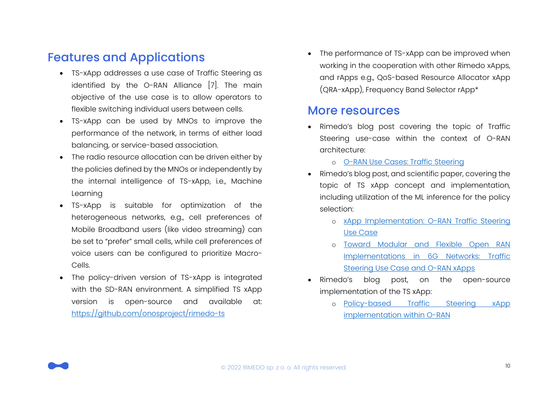# Features and Applications

- TS-xApp addresses a use case of Traffic Steering as identified by the O-RAN Alliance [7]. The main objective of the use case is to allow operators to flexible switching individual users between cells.
- TS-xApp can be used by MNOs to improve the performance of the network, in terms of either load balancing, or service-based association.
- The radio resource allocation can be driven either by the policies defined by the MNOs or independently by the internal intelligence of TS-xApp, i.e., Machine Learning
- TS-xApp is suitable for optimization of the heterogeneous networks, e.g., cell preferences of Mobile Broadband users (like video streaming) can be set to "prefer" small cells, while cell preferences of voice users can be configured to prioritize Macro-Cells.
- The policy-driven version of TS-xApp is integrated with the SD-RAN environment. A simplified TS xApp version is open-source and available at: <https://github.com/onosproject/rimedo-ts>

The performance of TS-xApp can be improved when working in the cooperation with other Rimedo xApps, and rApps e.g., QoS-based Resource Allocator xApp (QRA-xApp), Frequency Band Selector rApp\*

#### More resources

- Rimedo's blog post covering the topic of Traffic Steering use-case within the context of O-RAN architecture:
	- o [O-RAN Use Cases: Traffic Steering](https://www.rimedolabs.com/blog/o-ran-use-cases-traffic-steering/)
- Rimedo's blog post, and scientific paper, covering the topic of TS xApp concept and implementation, including utilization of the ML inference for the policy selection:
	- o [xApp Implementation: O-RAN Traffic Steering](https://www.rimedolabs.com/blog/xapp-implementation-o-ran-traffic-steering-use-case/)  [Use Case](https://www.rimedolabs.com/blog/xapp-implementation-o-ran-traffic-steering-use-case/)
	- o [Toward Modular and Flexible Open RAN](https://www.mdpi.com/1424-8220/21/24/8173)  [Implementations in 6G Networks: Traffic](https://www.mdpi.com/1424-8220/21/24/8173)  [Steering Use Case and O-RAN xApps](https://www.mdpi.com/1424-8220/21/24/8173)
- Rimedo's blog post, on the open-source implementation of the TS xApp:
	- o [Policy-based Traffic Steering xApp](rimedolabs.com/blog/policy-based-traffic-steering-xapp-implementation-within-o-ran)  [implementation within O-RAN](rimedolabs.com/blog/policy-based-traffic-steering-xapp-implementation-within-o-ran)

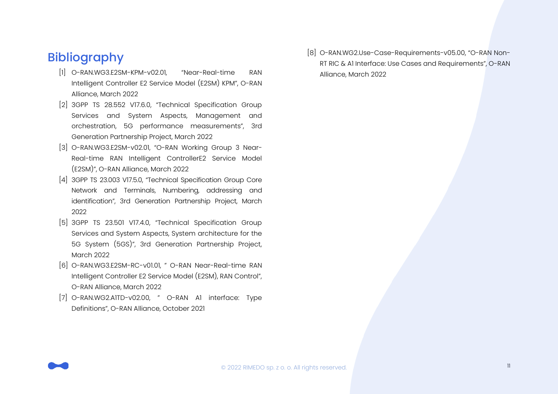# Bibliography

- [1] O-RAN.WG3.E2SM-KPM-v02.01, "Near-Real-time RAN Intelligent Controller E2 Service Model (E2SM) KPM", O-RAN Alliance, March 2022
- [2] 3GPP TS 28.552 V17.6.0, "Technical Specification Group Services and System Aspects, Management and orchestration, 5G performance measurements", 3rd Generation Partnership Project, March 2022
- [3] O-RAN.WG3.E2SM-v02.01, "O-RAN Working Group 3 Near-Real-time RAN Intelligent ControllerE2 Service Model (E2SM)", O-RAN Alliance, March 2022
- [4] 3GPP TS 23.003 V17.5.0, "Technical Specification Group Core Network and Terminals, Numbering, addressing and identification", 3rd Generation Partnership Project, March 2022
- [5] 3GPP TS 23.501 V17.4.0, "Technical Specification Group Services and System Aspects, System architecture for the 5G System (5GS)", 3rd Generation Partnership Project, March 2022
- [6] O-RAN.WG3.E2SM-RC-v01.01, " O-RAN Near-Real-time RAN Intelligent Controller E2 Service Model (E2SM), RAN Control", O-RAN Alliance, March 2022
- [7] O-RAN.WG2.A1TD-v02.00, " O-RAN A1 interface: Type Definitions", O-RAN Alliance, October 2021

[8] O-RAN.WG2.Use-Case-Requirements-v05.00, "O-RAN Non-RT RIC & A1 Interface: Use Cases and Requirements", O-RAN Alliance, March 2022

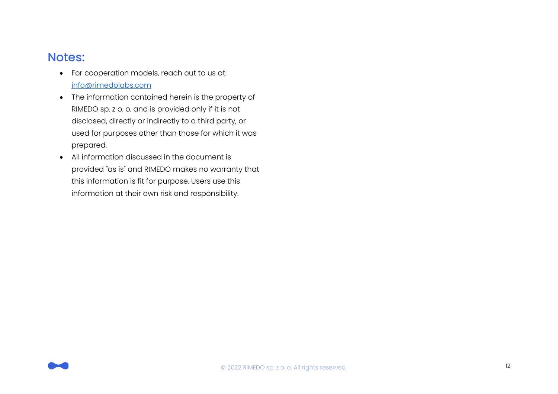#### Notes:

- For cooperation models, reach out to us at: [info@rimedolabs.com](mailto:info@rimedolabs.com)
- The information contained herein is the property of RIMEDO sp. z o. o. and is provided only if it is not disclosed, directly or indirectly to a third party, or used for purposes other than those for which it was prepared.
- All information discussed in the document is provided "as is" and RIMEDO makes no warranty that this information is fit for purpose. Users use this information at their own risk and responsibility.